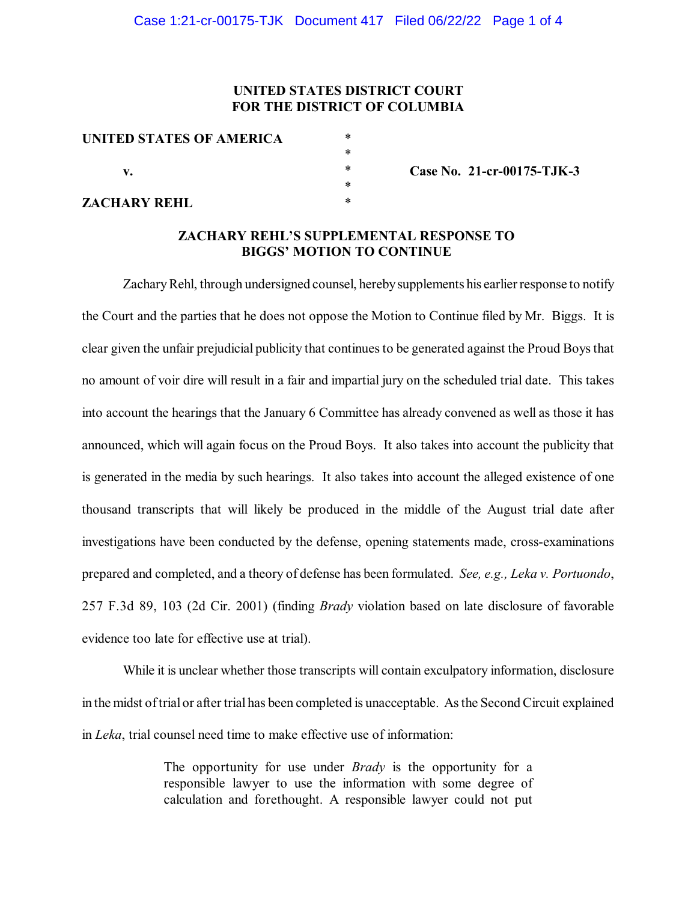## **UNITED STATES DISTRICT COURT FOR THE DISTRICT OF COLUMBIA**

| UNITED STATES OF AMERICA<br>v. | *         |
|--------------------------------|-----------|
|                                | *         |
|                                | *         |
|                                | $^{\ast}$ |
| <b>ZACHARY REHL</b>            | $^{\ast}$ |

**Case No. 21-cr-00175-TJK-3**

### **ZACHARY REHL'S SUPPLEMENTAL RESPONSE TO BIGGS' MOTION TO CONTINUE**

Zachary Rehl, through undersigned counsel, hereby supplements his earlier response to notify the Court and the parties that he does not oppose the Motion to Continue filed by Mr. Biggs. It is clear given the unfair prejudicial publicity that continuesto be generated against the Proud Boysthat no amount of voir dire will result in a fair and impartial jury on the scheduled trial date. This takes into account the hearings that the January 6 Committee has already convened as well as those it has announced, which will again focus on the Proud Boys. It also takes into account the publicity that is generated in the media by such hearings. It also takes into account the alleged existence of one thousand transcripts that will likely be produced in the middle of the August trial date after investigations have been conducted by the defense, opening statements made, cross-examinations prepared and completed, and a theory of defense has been formulated. *See, e.g., Leka v. Portuondo*, 257 F.3d 89, 103 (2d Cir. 2001) (finding *Brady* violation based on late disclosure of favorable evidence too late for effective use at trial).

While it is unclear whether those transcripts will contain exculpatory information, disclosure in the midst oftrial or after trial has been completed is unacceptable. Asthe Second Circuit explained in *Leka*, trial counsel need time to make effective use of information:

> The opportunity for use under *Brady* is the opportunity for a responsible lawyer to use the information with some degree of calculation and forethought. A responsible lawyer could not put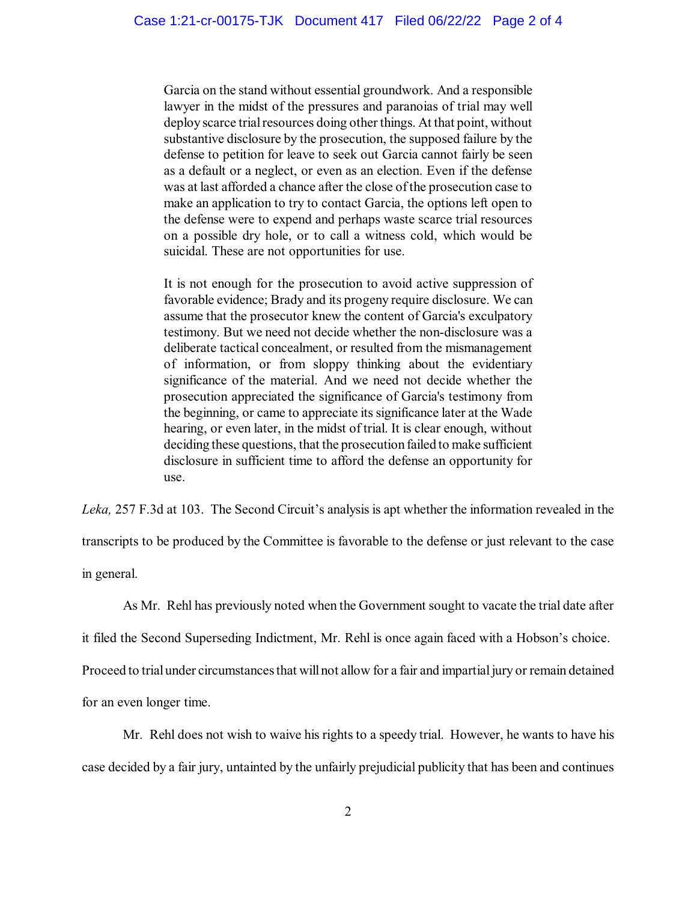Garcia on the stand without essential groundwork. And a responsible lawyer in the midst of the pressures and paranoias of trial may well deploy scarce trial resources doing other things. At that point, without substantive disclosure by the prosecution, the supposed failure by the defense to petition for leave to seek out Garcia cannot fairly be seen as a default or a neglect, or even as an election. Even if the defense was at last afforded a chance after the close of the prosecution case to make an application to try to contact Garcia, the options left open to the defense were to expend and perhaps waste scarce trial resources on a possible dry hole, or to call a witness cold, which would be suicidal. These are not opportunities for use.

It is not enough for the prosecution to avoid active suppression of favorable evidence; Brady and its progeny require disclosure. We can assume that the prosecutor knew the content of Garcia's exculpatory testimony. But we need not decide whether the non-disclosure was a deliberate tactical concealment, or resulted from the mismanagement of information, or from sloppy thinking about the evidentiary significance of the material. And we need not decide whether the prosecution appreciated the significance of Garcia's testimony from the beginning, or came to appreciate itssignificance later at the Wade hearing, or even later, in the midst of trial. It is clear enough, without deciding these questions, that the prosecution failed to make sufficient disclosure in sufficient time to afford the defense an opportunity for use.

*Leka,* 257 F.3d at 103. The Second Circuit's analysis is apt whether the information revealed in the transcripts to be produced by the Committee is favorable to the defense or just relevant to the case in general.

As Mr. Rehl has previously noted when the Government sought to vacate the trial date after

it filed the Second Superseding Indictment, Mr. Rehl is once again faced with a Hobson's choice.

Proceed to trial under circumstances that will not allow for a fair and impartial jury or remain detained

for an even longer time.

Mr. Rehl does not wish to waive his rights to a speedy trial. However, he wants to have his case decided by a fair jury, untainted by the unfairly prejudicial publicity that has been and continues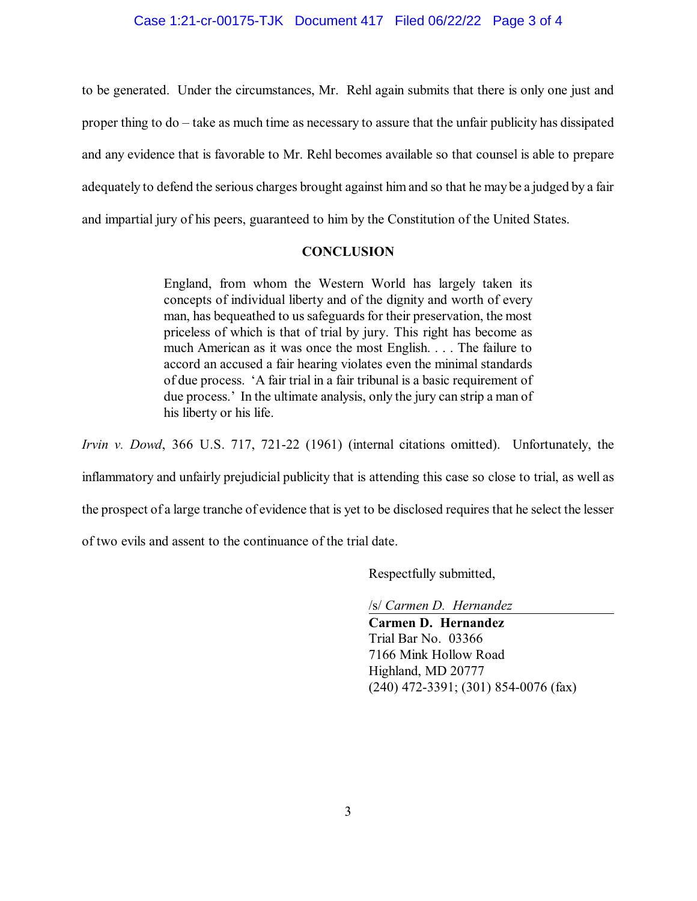#### Case 1:21-cr-00175-TJK Document 417 Filed 06/22/22 Page 3 of 4

to be generated. Under the circumstances, Mr. Rehl again submits that there is only one just and proper thing to do – take as much time as necessary to assure that the unfair publicity has dissipated and any evidence that is favorable to Mr. Rehl becomes available so that counsel is able to prepare adequately to defend the serious charges brought against him and so that he may be a judged by a fair and impartial jury of his peers, guaranteed to him by the Constitution of the United States.

#### **CONCLUSION**

England, from whom the Western World has largely taken its concepts of individual liberty and of the dignity and worth of every man, has bequeathed to us safeguards for their preservation, the most priceless of which is that of trial by jury. This right has become as much American as it was once the most English. . . . The failure to accord an accused a fair hearing violates even the minimal standards of due process. 'A fair trial in a fair tribunal is a basic requirement of due process.' In the ultimate analysis, only the jury can strip a man of his liberty or his life.

*Irvin v. Dowd*, 366 U.S. 717, 721-22 (1961) (internal citations omitted). Unfortunately, the

inflammatory and unfairly prejudicial publicity that is attending this case so close to trial, as well as

the prospect of a large tranche of evidence that is yet to be disclosed requires that he select the lesser

of two evils and assent to the continuance of the trial date.

Respectfully submitted,

/s/ *Carmen D. Hernandez*

**Carmen D. Hernandez** Trial Bar No. 03366 7166 Mink Hollow Road Highland, MD 20777 (240) 472-3391; (301) 854-0076 (fax)